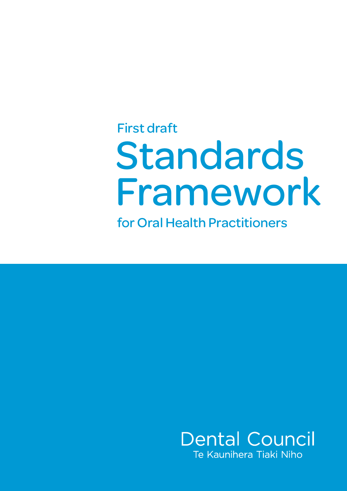# Standards Framework First draft

for Oral Health Practitioners

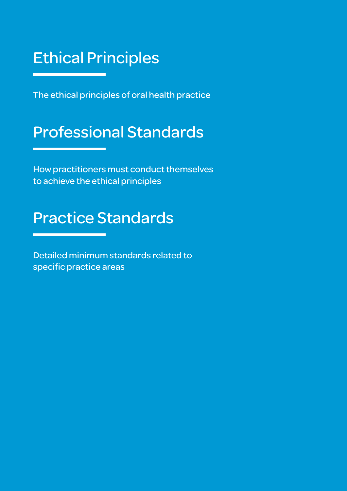## Ethical Principles

The ethical principles of oral health practice

## Professional Standards

How practitioners must conduct themselves to achieve the ethical principles

## Practice Standards

Detailed minimum standards related to specific practice areas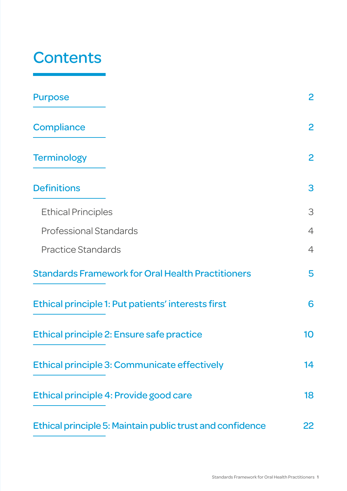## **Contents**

| <b>Purpose</b>                                            | $\overline{2}$ |
|-----------------------------------------------------------|----------------|
| <b>Compliance</b>                                         | $\overline{2}$ |
| <b>Terminology</b>                                        | $\mathbf{2}$   |
| <b>Definitions</b>                                        | 3              |
| <b>Ethical Principles</b>                                 | 3              |
| <b>Professional Standards</b>                             | $\overline{4}$ |
| <b>Practice Standards</b>                                 | $\overline{4}$ |
| <b>Standards Framework for Oral Health Practitioners</b>  | 5              |
| Ethical principle 1: Put patients' interests first        | 6              |
| Ethical principle 2: Ensure safe practice                 | 10             |
| Ethical principle 3: Communicate effectively              | 14             |
| Ethical principle 4: Provide good care                    | 18             |
| Ethical principle 5: Maintain public trust and confidence | 22             |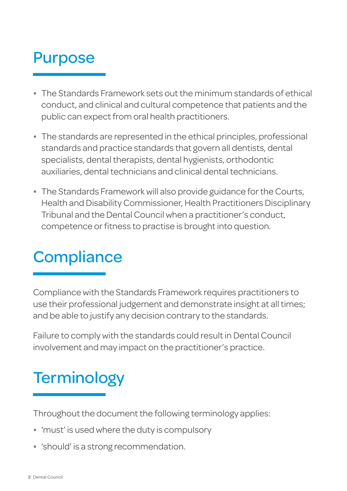## <span id="page-3-0"></span>Purpose

- The Standards Framework sets out the minimum standards of ethical conduct, and clinical and cultural competence that patients and the public can expect from oral health practitioners.
- The standards are represented in the ethical principles, professional standards and practice standards that govern all dentists, dental specialists, dental therapists, dental hygienists, orthodontic auxiliaries, dental technicians and clinical dental technicians.
- The Standards Framework will also provide guidance for the Courts, Health and Disability Commissioner, Health Practitioners Disciplinary Tribunal and the Dental Council when a practitioner's conduct, competence or fitness to practise is brought into question.

## **Compliance**

Compliance with the Standards Framework requires practitioners to use their professional judgement and demonstrate insight at all times; and be able to justify any decision contrary to the standards.

Failure to comply with the standards could result in Dental Council involvement and may impact on the practitioner's practice.

## **Terminology**

Throughout the document the following terminology applies:

- 'must' is used where the duty is compulsory
- 'should' is a strong recommendation.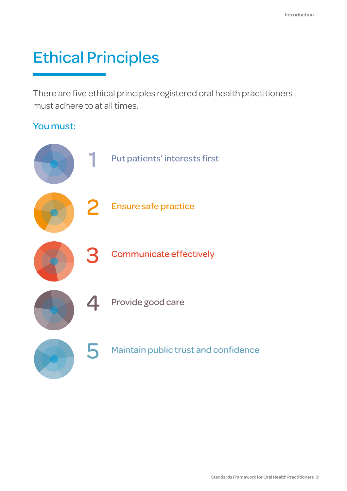## <span id="page-4-0"></span>Ethical Principles

There are five ethical principles registered oral health practitioners must adhere to at all times.

### You must:

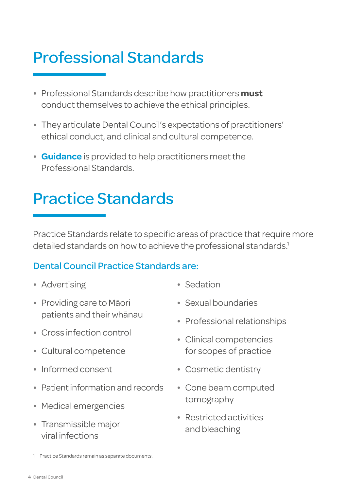## <span id="page-5-0"></span>Professional Standards

- Professional Standards describe how practitioners **must** conduct themselves to achieve the ethical principles.
- They articulate Dental Council's expectations of practitioners' ethical conduct, and clinical and cultural competence.
- **Guidance** is provided to help practitioners meet the Professional Standards.

## Practice Standards

Practice Standards relate to specific areas of practice that require more detailed standards on how to achieve the professional standards.<sup>1</sup>

### Dental Council Practice Standards are:

- Advertising
- Providing care to Māori patients and their whānau
- Cross infection control
- Cultural competence
- Informed consent
- Patient information and records
- Medical emergencies
- Transmissible major viral infections
- Sedation
- Sexual boundaries
- Professional relationships
- Clinical competencies for scopes of practice
- Cosmetic dentistry
- Cone beam computed tomography
- Restricted activities and bleaching

<sup>1</sup> Practice Standards remain as separate documents.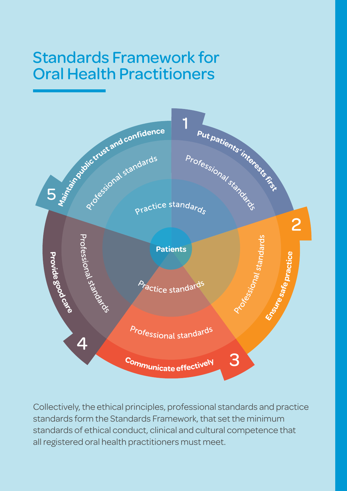## Standards Framework for Oral Health Practitioners



Collectively, the ethical principles, professional standards and practice standards form the Standards Framework, that set the minimum standards of ethical conduct, clinical and cultural competence that all registered oral health practitioners must meet.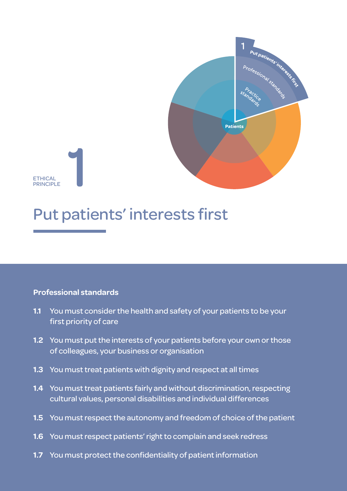

<span id="page-7-0"></span>ETHICAL<br>PRINCIPI F ETHICAL<br>PRINCIPLE

## Put patients' interests first

### **Professional standards**

- **1.1** You must consider the health and safety of your patients to be your first priority of care
- **1.2** You must put the interests of your patients before your own or those of colleagues, your business or organisation
- **1.3** You must treat patients with dignity and respect at all times
- **1.4** You must treat patients fairly and without discrimination, respecting cultural values, personal disabilities and individual differences
- **1.5** You must respect the autonomy and freedom of choice of the patient
- **1.6** You must respect patients' right to complain and seek redress
- **1.7** You must protect the confidentiality of patient information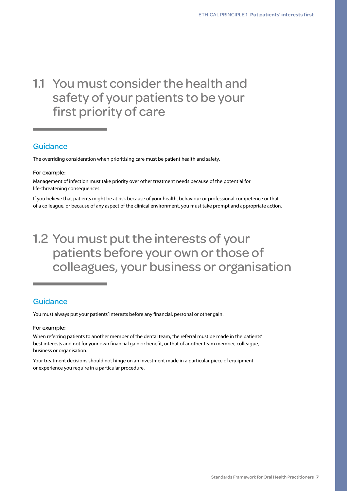### 1.1 You must consider the health and safety of your patients to be your first priority of care

#### **Guidance**

The overriding consideration when prioritising care must be patient health and safety.

#### For example:

Management of infection must take priority over other treatment needs because of the potential for life-threatening consequences.

If you believe that patients might be at risk because of your health, behaviour or professional competence or that of a colleague, or because of any aspect of the clinical environment, you must take prompt and appropriate action.

### 1.2 You must put the interests of your patients before your own or those of colleagues, your business or organisation

### **Guidance**

You must always put your patients' interests before any financial, personal or other gain.

#### For example:

When referring patients to another member of the dental team, the referral must be made in the patients' best interests and not for your own financial gain or benefit, or that of another team member, colleague, business or organisation.

Your treatment decisions should not hinge on an investment made in a particular piece of equipment or experience you require in a particular procedure.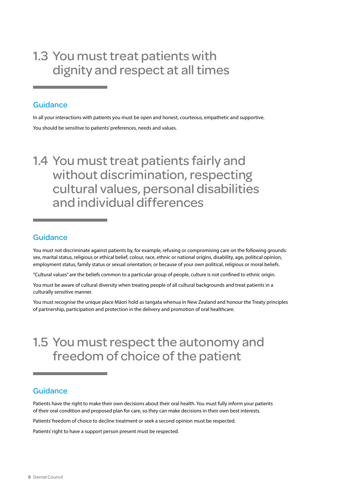### 1.3 You must treat patients with dignity and respect at all times

#### **Guidance**

In all your interactions with patients you must be open and honest, courteous, empathetic and supportive. You should be sensitive to patients' preferences, needs and values.

### 1.4 You must treat patients fairly and without discrimination, respecting cultural values, personal disabilities and individual differences

### Guidance

You must not discriminate against patients by, for example, refusing or compromising care on the following grounds: sex, marital status, religious or ethical belief, colour, race, ethnic or national origins, disability, age, political opinion, employment status, family status or sexual orientation; or because of your own political, religious or moral beliefs.

"Cultural values" are the beliefs common to a particular group of people, culture is not confined to ethnic origin.

You must be aware of cultural diversity when treating people of all cultural backgrounds and treat patients in a culturally sensitive manner.

You must recognise the unique place Māori hold as tangata whenua in New Zealand and honour the Treaty principles of partnership, participation and protection in the delivery and promotion of oral healthcare.

### 1.5 You must respect the autonomy and freedom of choice of the patient

### **Guidance**

Patients have the right to make their own decisions about their oral health. You must fully inform your patients of their oral condition and proposed plan for care, so they can make decisions in their own best interests.

Patients' freedom of choice to decline treatment or seek a second opinion must be respected.

Patients' right to have a support person present must be respected.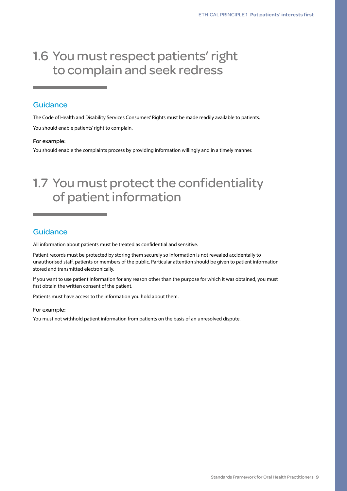### 1.6 You must respect patients' right to complain and seek redress

### **Guidance**

The Code of Health and Disability Services Consumers' Rights must be made readily available to patients. You should enable patients' right to complain.

#### For example:

You should enable the complaints process by providing information willingly and in a timely manner.

### 1.7 You must protect the confidentiality of patient information

### **Guidance**

All information about patients must be treated as confidential and sensitive.

Patient records must be protected by storing them securely so information is not revealed accidentally to unauthorised staff, patients or members of the public. Particular attention should be given to patient information stored and transmitted electronically.

If you want to use patient information for any reason other than the purpose for which it was obtained, you must first obtain the written consent of the patient.

Patients must have access to the information you hold about them.

#### For example:

You must not withhold patient information from patients on the basis of an unresolved dispute.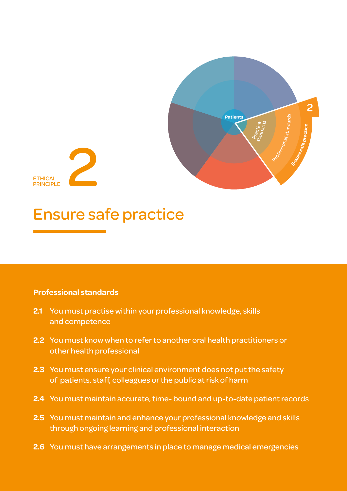

<span id="page-11-0"></span>

## Ensure safe practice

### **Professional standards**

- **2.1** You must practise within your professional knowledge, skills and competence
- **2.2** You must know when to refer to another oral health practitioners or other health professional
- **2.3** You must ensure your clinical environment does not put the safety of patients, staff, colleagues or the public at risk of harm
- **2.4** You must maintain accurate, time- bound and up-to-date patient records
- **2.5** You must maintain and enhance your professional knowledge and skills through ongoing learning and professional interaction
- **2.6** You must have arrangements in place to manage medical emergencies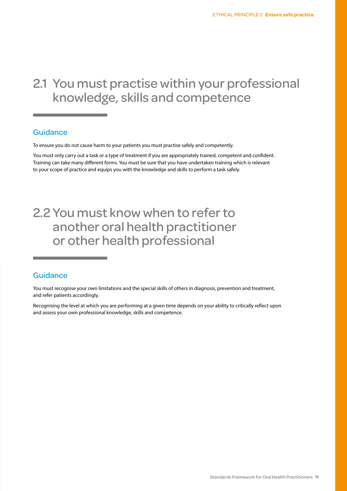### 2.1 You must practise within your professional knowledge, skills and competence

#### Guidance

To ensure you do not cause harm to your patients you must practise safely and competently.

You must only carry out a task or a type of treatment if you are appropriately trained, competent and confident. Training can take many different forms. You must be sure that you have undertaken training which is relevant to your scope of practice and equips you with the knowledge and skills to perform a task safely.

### 2.2 You must know when to refer to another oral health practitioner or other health professional

#### Guidance

You must recognise your own limitations and the special skills of others in diagnosis, prevention and treatment, and refer patients accordingly.

Recognising the level at which you are performing at a given time depends on your ability to critically reflect upon and assess your own professional knowledge, skills and competence.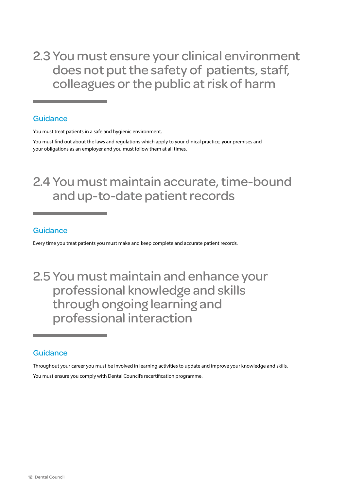2.3 You must ensure your clinical environment does not put the safety of patients, staff, colleagues or the public at risk of harm

#### **Guidance**

You must treat patients in a safe and hygienic environment.

You must find out about the laws and regulations which apply to your clinical practice, your premises and your obligations as an employer and you must follow them at all times.

### 2.4 You must maintain accurate, time-bound and up-to-date patient records

### Guidance

Every time you treat patients you must make and keep complete and accurate patient records.

### 2.5 You must maintain and enhance your professional knowledge and skills through ongoing learning and professional interaction

### **Guidance**

Throughout your career you must be involved in learning activities to update and improve your knowledge and skills. You must ensure you comply with Dental Council's recertification programme.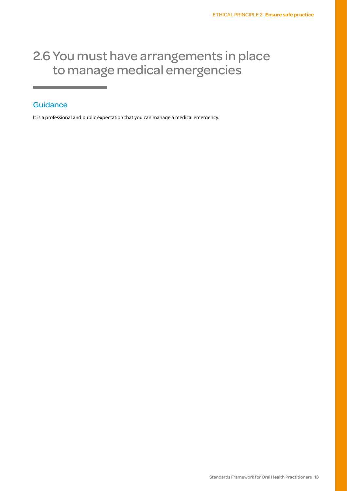### 2.6 You must have arrangements in place to manage medical emergencies

### **Guidance**

It is a professional and public expectation that you can manage a medical emergency.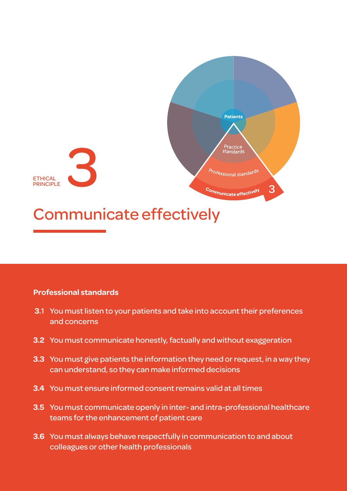<span id="page-15-0"></span>

### **Professional standards**

- **3.**1 You must listen to your patients and take into account their preferences and concerns
- **3.2** You must communicate honestly, factually and without exaggeration
- **3.3** You must give patients the information they need or request, in a way they can understand, so they can make informed decisions
- **3.4** You must ensure informed consent remains valid at all times
- **3.5** You must communicate openly in inter- and intra-professional healthcare teams for the enhancement of patient care
- **3.6** You must always behave respectfully in communication to and about colleagues or other health professionals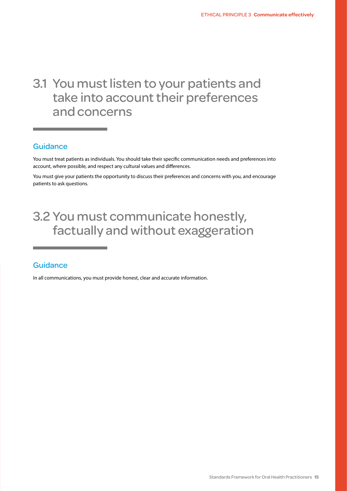### 3.1 You must listen to your patients and take into account their preferences and concerns

#### **Guidance**

You must treat patients as individuals. You should take their specific communication needs and preferences into account, where possible, and respect any cultural values and differences.

You must give your patients the opportunity to discuss their preferences and concerns with you, and encourage patients to ask questions.

### 3.2 You must communicate honestly, factually and without exaggeration

#### **Guidance**

In all communications, you must provide honest, clear and accurate information.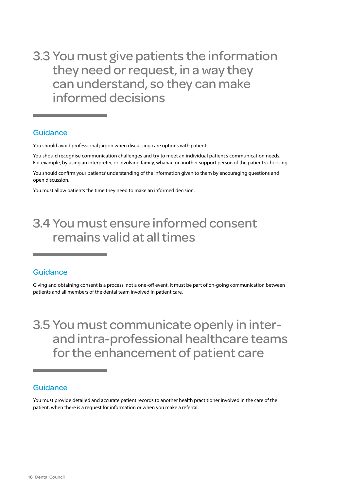3.3 You must give patients the information they need or request, in a way they can understand, so they can make informed decisions

#### **Guidance**

You should avoid professional jargon when discussing care options with patients.

You should recognise communication challenges and try to meet an individual patient's communication needs. For example, by using an interpreter, or involving family, whanau or another support person of the patient's choosing.

You should confirm your patients' understanding of the information given to them by encouraging questions and open discussion.

You must allow patients the time they need to make an informed decision.

### 3.4 You must ensure informed consent remains valid at all times

#### Guidance

Giving and obtaining consent is a process, not a one-off event. It must be part of on-going communication between patients and all members of the dental team involved in patient care.

3.5 You must communicate openly in interand intra-professional healthcare teams for the enhancement of patient care

#### **Guidance**

You must provide detailed and accurate patient records to another health practitioner involved in the care of the patient, when there is a request for information or when you make a referral.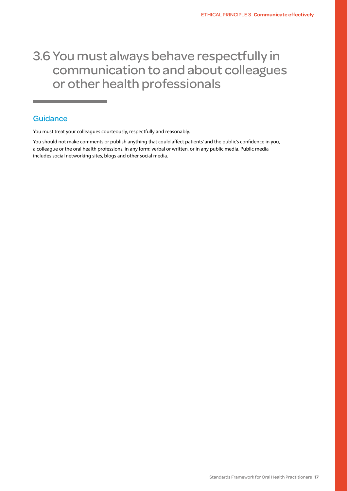### 3.6 You must always behave respectfully in communication to and about colleagues or other health professionals

#### **Guidance**

You must treat your colleagues courteously, respectfully and reasonably.

You should not make comments or publish anything that could affect patients' and the public's confidence in you, a colleague or the oral health professions, in any form: verbal or written, or in any public media. Public media includes social networking sites, blogs and other social media.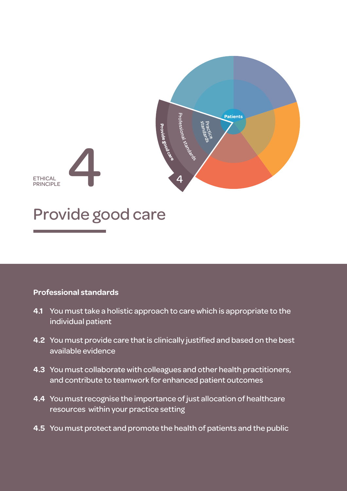<span id="page-19-0"></span>

## Provide good care

### **Professional standards**

- **4.1** You must take a holistic approach to care which is appropriate to the individual patient
- **4.2** You must provide care that is clinically justified and based on the best available evidence
- **4.3** You must collaborate with colleagues and other health practitioners, and contribute to teamwork for enhanced patient outcomes
- **4.4** You must recognise the importance of just allocation of healthcare resources within your practice setting
- **4.5** You must protect and promote the health of patients and the public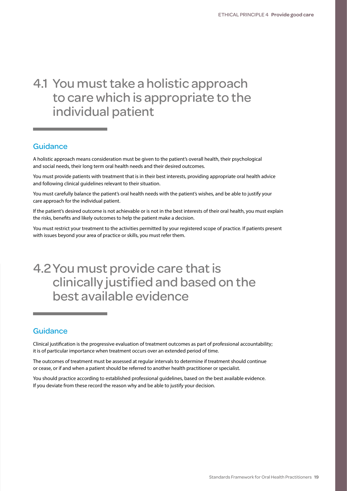### 4.1 You must take a holistic approach to care which is appropriate to the individual patient

#### **Guidance**

A holistic approach means consideration must be given to the patient's overall health, their psychological and social needs, their long term oral health needs and their desired outcomes.

You must provide patients with treatment that is in their best interests, providing appropriate oral health advice and following clinical guidelines relevant to their situation.

You must carefully balance the patient's oral health needs with the patient's wishes, and be able to justify your care approach for the individual patient.

If the patient's desired outcome is not achievable or is not in the best interests of their oral health, you must explain the risks, benefits and likely outcomes to help the patient make a decision.

You must restrict your treatment to the activities permitted by your registered scope of practice. If patients present with issues beyond your area of practice or skills, you must refer them.

### 4.2You must provide care that is clinically justified and based on the best available evidence

### **Guidance**

Clinical justification is the progressive evaluation of treatment outcomes as part of professional accountability; it is of particular importance when treatment occurs over an extended period of time.

The outcomes of treatment must be assessed at regular intervals to determine if treatment should continue or cease, or if and when a patient should be referred to another health practitioner or specialist.

You should practice according to established professional guidelines, based on the best available evidence. If you deviate from these record the reason why and be able to justify your decision.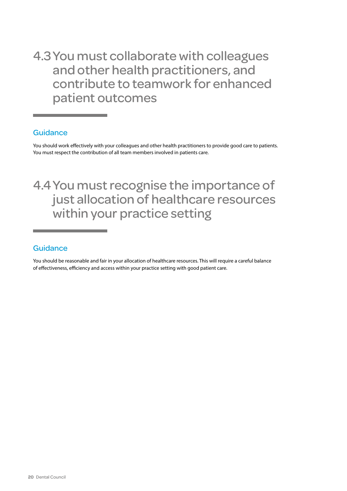4.3You must collaborate with colleagues and other health practitioners, and contribute to teamwork for enhanced patient outcomes

### **Guidance**

You should work effectively with your colleagues and other health practitioners to provide good care to patients. You must respect the contribution of all team members involved in patients care.

4.4You must recognise the importance of just allocation of healthcare resources within your practice setting

### **Guidance**

You should be reasonable and fair in your allocation of healthcare resources. This will require a careful balance of effectiveness, efficiency and access within your practice setting with good patient care.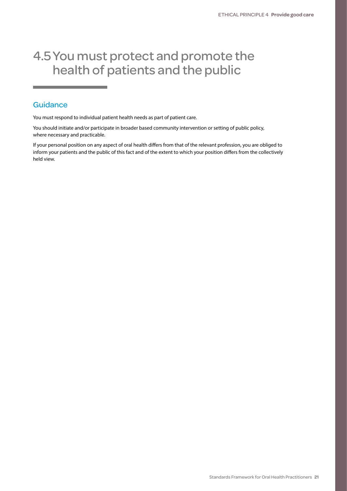### 4.5You must protect and promote the health of patients and the public

#### **Guidance**

You must respond to individual patient health needs as part of patient care.

You should initiate and/or participate in broader based community intervention or setting of public policy, where necessary and practicable.

If your personal position on any aspect of oral health differs from that of the relevant profession, you are obliged to inform your patients and the public of this fact and of the extent to which your position differs from the collectively held view.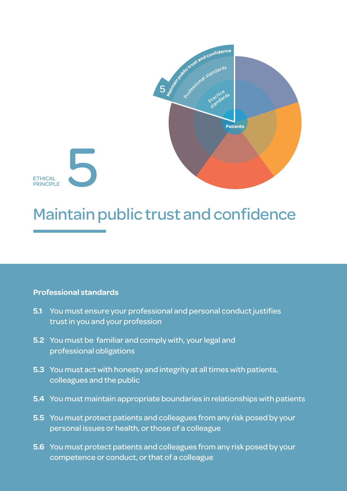<span id="page-23-0"></span>

## Maintain public trust and confidence

### **Professional standards**

- **5.1** You must ensure your professional and personal conduct justifies trust in you and your profession
- **5.2** You must be familiar and comply with, your legal and professional obligations
- **5.3** You must act with honesty and integrity at all times with patients, colleagues and the public
- **5.4** You must maintain appropriate boundaries in relationships with patients
- **5.5** You must protect patients and colleagues from any risk posed by your personal issues or health, or those of a colleague
- **5.6** You must protect patients and colleagues from any risk posed by your competence or conduct, or that of a colleague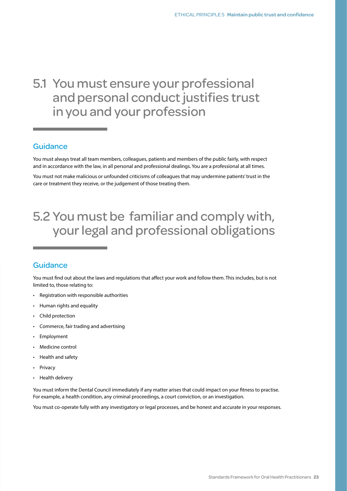### 5.1 You must ensure your professional and personal conduct justifies trust in you and your profession

#### Guidance

You must always treat all team members, colleagues, patients and members of the public fairly, with respect and in accordance with the law, in all personal and professional dealings. You are a professional at all times.

You must not make malicious or unfounded criticisms of colleagues that may undermine patients' trust in the care or treatment they receive, or the judgement of those treating them.

### 5.2 You must be familiar and comply with, your legal and professional obligations

#### **Guidance**

You must find out about the laws and regulations that affect your work and follow them. This includes, but is not limited to, those relating to:

- Registration with responsible authorities
- Human rights and equality
- Child protection
- Commerce, fair trading and advertising
- **Employment**
- Medicine control
- Health and safety
- **Privacy**
- Health delivery

You must inform the Dental Council immediately if any matter arises that could impact on your fitness to practise. For example, a health condition, any criminal proceedings, a court conviction, or an investigation.

You must co-operate fully with any investigatory or legal processes, and be honest and accurate in your responses.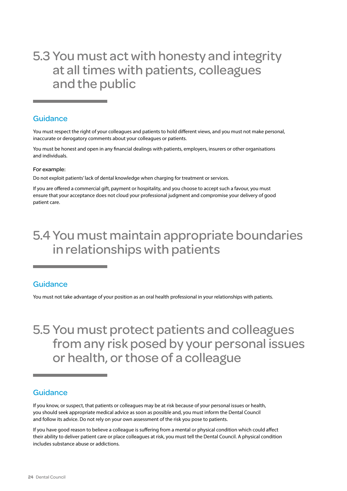### 5.3 You must act with honesty and integrity at all times with patients, colleagues and the public

#### **Guidance**

You must respect the right of your colleagues and patients to hold different views, and you must not make personal, inaccurate or derogatory comments about your colleagues or patients.

You must be honest and open in any financial dealings with patients, employers, insurers or other organisations and individuals.

#### For example:

Do not exploit patients' lack of dental knowledge when charging for treatment or services.

If you are offered a commercial gift, payment or hospitality, and you choose to accept such a favour, you must ensure that your acceptance does not cloud your professional judgment and compromise your delivery of good patient care.

### 5.4 You must maintain appropriate boundaries in relationships with patients

#### **Guidance**

You must not take advantage of your position as an oral health professional in your relationships with patients.

### 5.5 You must protect patients and colleagues from any risk posed by your personal issues or health, or those of a colleague

### **Guidance**

If you know, or suspect, that patients or colleagues may be at risk because of your personal issues or health, you should seek appropriate medical advice as soon as possible and, you must inform the Dental Council and follow its advice. Do not rely on your own assessment of the risk you pose to patients.

If you have good reason to believe a colleague is suffering from a mental or physical condition which could affect their ability to deliver patient care or place colleagues at risk, you must tell the Dental Council. A physical condition includes substance abuse or addictions.